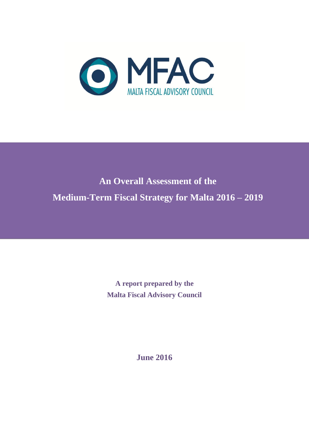

# **An Overall Assessment of the Medium-Term Fiscal Strategy for Malta 2016 – 2019**

**A report prepared by the Malta Fiscal Advisory Council**

**June 2016**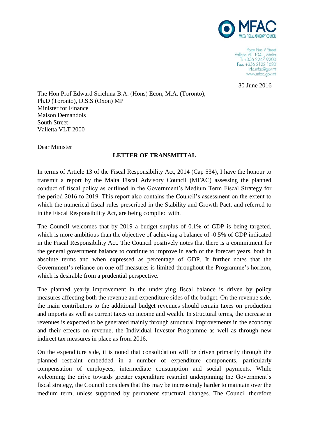

Pope Pius V Street Valletta VLT 1041, Malta  $T: +35622479200$ Fax: +356 2122 1620 info.mfac@gov.mt www.mfac.gov.mt

30 June 2016

The Hon Prof Edward Scicluna B.A. (Hons) Econ, M.A. (Toronto), Ph.D (Toronto), D.S.S (Oxon) MP Minister for Finance Maison Demandols South Street Valletta VLT 2000

Dear Minister

#### **LETTER OF TRANSMITTAL**

In terms of Article 13 of the Fiscal Responsibility Act, 2014 (Cap 534), I have the honour to transmit a report by the Malta Fiscal Advisory Council (MFAC) assessing the planned conduct of fiscal policy as outlined in the Government's Medium Term Fiscal Strategy for the period 2016 to 2019. This report also contains the Council's assessment on the extent to which the numerical fiscal rules prescribed in the Stability and Growth Pact, and referred to in the Fiscal Responsibility Act, are being complied with.

The Council welcomes that by 2019 a budget surplus of 0.1% of GDP is being targeted, which is more ambitious than the objective of achieving a balance of  $-0.5\%$  of GDP indicated in the Fiscal Responsibility Act. The Council positively notes that there is a commitment for the general government balance to continue to improve in each of the forecast years, both in absolute terms and when expressed as percentage of GDP. It further notes that the Government's reliance on one-off measures is limited throughout the Programme's horizon, which is desirable from a prudential perspective.

The planned yearly improvement in the underlying fiscal balance is driven by policy measures affecting both the revenue and expenditure sides of the budget. On the revenue side, the main contributors to the additional budget revenues should remain taxes on production and imports as well as current taxes on income and wealth. In structural terms, the increase in revenues is expected to be generated mainly through structural improvements in the economy and their effects on revenue, the Individual Investor Programme as well as through new indirect tax measures in place as from 2016.

On the expenditure side, it is noted that consolidation will be driven primarily through the planned restraint embedded in a number of expenditure components, particularly compensation of employees, intermediate consumption and social payments. While welcoming the drive towards greater expenditure restraint underpinning the Government's fiscal strategy, the Council considers that this may be increasingly harder to maintain over the medium term, unless supported by permanent structural changes. The Council therefore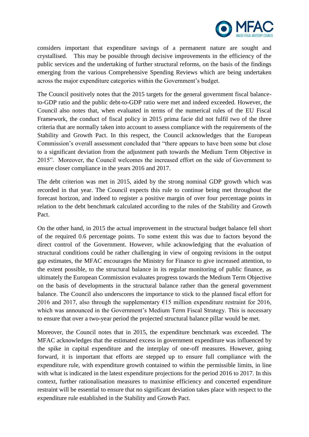

considers important that expenditure savings of a permanent nature are sought and crystallised. This may be possible through decisive improvements in the efficiency of the public services and the undertaking of further structural reforms, on the basis of the findings emerging from the various Comprehensive Spending Reviews which are being undertaken across the major expenditure categories within the Government's budget.

The Council positively notes that the 2015 targets for the general government fiscal balanceto-GDP ratio and the public debt-to-GDP ratio were met and indeed exceeded. However, the Council also notes that, when evaluated in terms of the numerical rules of the EU Fiscal Framework, the conduct of fiscal policy in 2015 prima facie did not fulfil two of the three criteria that are normally taken into account to assess compliance with the requirements of the Stability and Growth Pact. In this respect, the Council acknowledges that the European Commission's overall assessment concluded that "there appears to have been some but close to a significant deviation from the adjustment path towards the Medium Term Objective in 2015". Moreover, the Council welcomes the increased effort on the side of Government to ensure closer compliance in the years 2016 and 2017.

The debt criterion was met in 2015, aided by the strong nominal GDP growth which was recorded in that year. The Council expects this rule to continue being met throughout the forecast horizon, and indeed to register a positive margin of over four percentage points in relation to the debt benchmark calculated according to the rules of the Stability and Growth Pact.

On the other hand, in 2015 the actual improvement in the structural budget balance fell short of the required 0.6 percentage points. To some extent this was due to factors beyond the direct control of the Government. However, while acknowledging that the evaluation of structural conditions could be rather challenging in view of ongoing revisions in the output gap estimates, the MFAC encourages the Ministry for Finance to give increased attention, to the extent possible, to the structural balance in its regular monitoring of public finance, as ultimately the European Commission evaluates progress towards the Medium Term Objective on the basis of developments in the structural balance rather than the general government balance. The Council also underscores the importance to stick to the planned fiscal effort for 2016 and 2017, also through the supplementary  $\epsilon$ 15 million expenditure restraint for 2016, which was announced in the Government's Medium Term Fiscal Strategy. This is necessary to ensure that over a two-year period the projected structural balance pillar would be met.

Moreover, the Council notes that in 2015, the expenditure benchmark was exceeded. The MFAC acknowledges that the estimated excess in government expenditure was influenced by the spike in capital expenditure and the interplay of one-off measures. However, going forward, it is important that efforts are stepped up to ensure full compliance with the expenditure rule, with expenditure growth contained to within the permissible limits, in line with what is indicated in the latest expenditure projections for the period 2016 to 2017. In this context, further rationalisation measures to maximise efficiency and concerted expenditure restraint will be essential to ensure that no significant deviation takes place with respect to the expenditure rule established in the Stability and Growth Pact.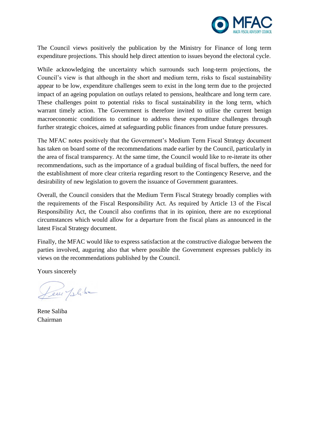

The Council views positively the publication by the Ministry for Finance of long term expenditure projections. This should help direct attention to issues beyond the electoral cycle.

While acknowledging the uncertainty which surrounds such long-term projections, the Council's view is that although in the short and medium term, risks to fiscal sustainability appear to be low, expenditure challenges seem to exist in the long term due to the projected impact of an ageing population on outlays related to pensions, healthcare and long term care. These challenges point to potential risks to fiscal sustainability in the long term, which warrant timely action. The Government is therefore invited to utilise the current benign macroeconomic conditions to continue to address these expenditure challenges through further strategic choices, aimed at safeguarding public finances from undue future pressures.

The MFAC notes positively that the Government's Medium Term Fiscal Strategy document has taken on board some of the recommendations made earlier by the Council, particularly in the area of fiscal transparency. At the same time, the Council would like to re-iterate its other recommendations, such as the importance of a gradual building of fiscal buffers, the need for the establishment of more clear criteria regarding resort to the Contingency Reserve, and the desirability of new legislation to govern the issuance of Government guarantees.

Overall, the Council considers that the Medium Term Fiscal Strategy broadly complies with the requirements of the Fiscal Responsibility Act. As required by Article 13 of the Fiscal Responsibility Act, the Council also confirms that in its opinion, there are no exceptional circumstances which would allow for a departure from the fiscal plans as announced in the latest Fiscal Strategy document.

Finally, the MFAC would like to express satisfaction at the constructive dialogue between the parties involved, auguring also that where possible the Government expresses publicly its views on the recommendations published by the Council.

Yours sincerely

Leur plike

Rene Saliba Chairman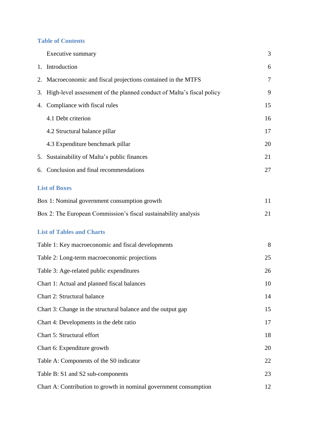## **Table of Contents**

|    | Executive summary                                                     | 3  |
|----|-----------------------------------------------------------------------|----|
|    | 1. Introduction                                                       | 6  |
| 2. | Macroeconomic and fiscal projections contained in the MTFS            | 7  |
| 3. | High-level assessment of the planned conduct of Malta's fiscal policy | 9  |
| 4. | Compliance with fiscal rules                                          | 15 |
|    | 4.1 Debt criterion                                                    | 16 |
|    | 4.2 Structural balance pillar                                         | 17 |
|    | 4.3 Expenditure benchmark pillar                                      | 20 |
| 5. | Sustainability of Malta's public finances                             | 21 |
|    | 6. Conclusion and final recommendations                               | 27 |
|    | <b>List of Boxes</b>                                                  |    |
|    | Box 1: Nominal government consumption growth                          | 11 |
|    | Box 2: The European Commission's fiscal sustainability analysis       | 21 |
|    | <b>List of Tables and Charts</b>                                      |    |
|    | Table 1: Key macroeconomic and fiscal developments                    | 8  |
|    | Table 2: Long-term macroeconomic projections                          | 25 |
|    | Table 3: Age-related public expenditures                              | 26 |
|    | Chart 1: Actual and planned fiscal balances                           | 10 |
|    | Chart 2: Structural balance                                           | 14 |
|    | Chart 3: Change in the structural balance and the output gap          | 15 |
|    | Chart 4: Developments in the debt ratio                               | 17 |
|    | Chart 5: Structural effort                                            | 18 |
|    | Chart 6: Expenditure growth                                           | 20 |
|    | Table A: Components of the S0 indicator                               | 22 |
|    | Table B: S1 and S2 sub-components                                     | 23 |
|    | Chart A: Contribution to growth in nominal government consumption     | 12 |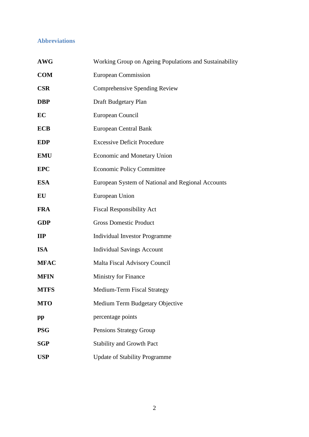# **Abbreviations**

| <b>AWG</b>   | Working Group on Ageing Populations and Sustainability |
|--------------|--------------------------------------------------------|
| <b>COM</b>   | <b>European Commission</b>                             |
| <b>CSR</b>   | Comprehensive Spending Review                          |
| <b>DBP</b>   | Draft Budgetary Plan                                   |
| EC           | European Council                                       |
| <b>ECB</b>   | <b>European Central Bank</b>                           |
| <b>EDP</b>   | <b>Excessive Deficit Procedure</b>                     |
| <b>EMU</b>   | <b>Economic and Monetary Union</b>                     |
| <b>EPC</b>   | <b>Economic Policy Committee</b>                       |
| <b>ESA</b>   | European System of National and Regional Accounts      |
| EU           | European Union                                         |
| <b>FRA</b>   | <b>Fiscal Responsibility Act</b>                       |
| <b>GDP</b>   | <b>Gross Domestic Product</b>                          |
| $\mathbf{H}$ | <b>Individual Investor Programme</b>                   |
| <b>ISA</b>   | <b>Individual Savings Account</b>                      |
| <b>MFAC</b>  | <b>Malta Fiscal Advisory Council</b>                   |
| <b>MFIN</b>  | Ministry for Finance                                   |
| <b>MTFS</b>  | Medium-Term Fiscal Strategy                            |
| <b>MTO</b>   | Medium Term Budgetary Objective                        |
| pp           | percentage points                                      |
| <b>PSG</b>   | Pensions Strategy Group                                |
| <b>SGP</b>   | <b>Stability and Growth Pact</b>                       |
| <b>USP</b>   | <b>Update of Stability Programme</b>                   |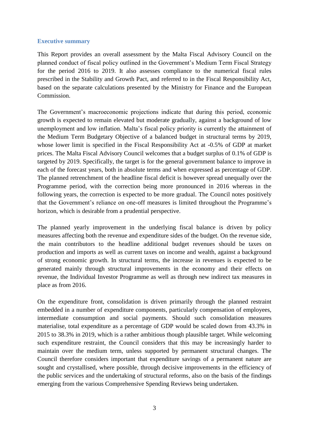#### **Executive summary**

This Report provides an overall assessment by the Malta Fiscal Advisory Council on the planned conduct of fiscal policy outlined in the Government's Medium Term Fiscal Strategy for the period 2016 to 2019. It also assesses compliance to the numerical fiscal rules prescribed in the Stability and Growth Pact, and referred to in the Fiscal Responsibility Act, based on the separate calculations presented by the Ministry for Finance and the European Commission.

The Government's macroeconomic projections indicate that during this period, economic growth is expected to remain elevated but moderate gradually, against a background of low unemployment and low inflation. Malta's fiscal policy priority is currently the attainment of the Medium Term Budgetary Objective of a balanced budget in structural terms by 2019, whose lower limit is specified in the Fiscal Responsibility Act at -0.5% of GDP at market prices. The Malta Fiscal Advisory Council welcomes that a budget surplus of 0.1% of GDP is targeted by 2019. Specifically, the target is for the general government balance to improve in each of the forecast years, both in absolute terms and when expressed as percentage of GDP. The planned retrenchment of the headline fiscal deficit is however spread unequally over the Programme period, with the correction being more pronounced in 2016 whereas in the following years, the correction is expected to be more gradual. The Council notes positively that the Government's reliance on one-off measures is limited throughout the Programme's horizon, which is desirable from a prudential perspective.

The planned yearly improvement in the underlying fiscal balance is driven by policy measures affecting both the revenue and expenditure sides of the budget. On the revenue side, the main contributors to the headline additional budget revenues should be taxes on production and imports as well as current taxes on income and wealth, against a background of strong economic growth. In structural terms, the increase in revenues is expected to be generated mainly through structural improvements in the economy and their effects on revenue, the Individual Investor Programme as well as through new indirect tax measures in place as from 2016.

On the expenditure front, consolidation is driven primarily through the planned restraint embedded in a number of expenditure components, particularly compensation of employees, intermediate consumption and social payments. Should such consolidation measures materialise, total expenditure as a percentage of GDP would be scaled down from 43.3% in 2015 to 38.3% in 2019, which is a rather ambitious though plausible target. While welcoming such expenditure restraint, the Council considers that this may be increasingly harder to maintain over the medium term, unless supported by permanent structural changes. The Council therefore considers important that expenditure savings of a permanent nature are sought and crystallised, where possible, through decisive improvements in the efficiency of the public services and the undertaking of structural reforms, also on the basis of the findings emerging from the various Comprehensive Spending Reviews being undertaken.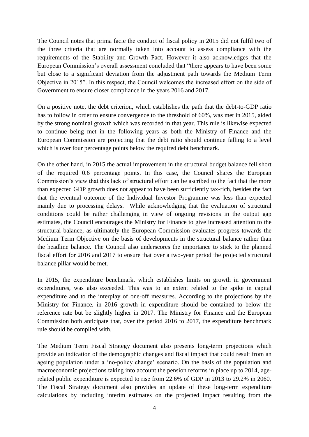The Council notes that prima facie the conduct of fiscal policy in 2015 did not fulfil two of the three criteria that are normally taken into account to assess compliance with the requirements of the Stability and Growth Pact. However it also acknowledges that the European Commission's overall assessment concluded that "there appears to have been some but close to a significant deviation from the adjustment path towards the Medium Term Objective in 2015". In this respect, the Council welcomes the increased effort on the side of Government to ensure closer compliance in the years 2016 and 2017.

On a positive note, the debt criterion, which establishes the path that the debt-to-GDP ratio has to follow in order to ensure convergence to the threshold of 60%, was met in 2015, aided by the strong nominal growth which was recorded in that year. This rule is likewise expected to continue being met in the following years as both the Ministry of Finance and the European Commission are projecting that the debt ratio should continue falling to a level which is over four percentage points below the required debt benchmark.

On the other hand, in 2015 the actual improvement in the structural budget balance fell short of the required 0.6 percentage points. In this case, the Council shares the European Commission's view that this lack of structural effort can be ascribed to the fact that the more than expected GDP growth does not appear to have been sufficiently tax-rich, besides the fact that the eventual outcome of the Individual Investor Programme was less than expected mainly due to processing delays. While acknowledging that the evaluation of structural conditions could be rather challenging in view of ongoing revisions in the output gap estimates, the Council encourages the Ministry for Finance to give increased attention to the structural balance, as ultimately the European Commission evaluates progress towards the Medium Term Objective on the basis of developments in the structural balance rather than the headline balance. The Council also underscores the importance to stick to the planned fiscal effort for 2016 and 2017 to ensure that over a two-year period the projected structural balance pillar would be met.

In 2015, the expenditure benchmark, which establishes limits on growth in government expenditures, was also exceeded. This was to an extent related to the spike in capital expenditure and to the interplay of one-off measures. According to the projections by the Ministry for Finance, in 2016 growth in expenditure should be contained to below the reference rate but be slightly higher in 2017. The Ministry for Finance and the European Commission both anticipate that, over the period 2016 to 2017, the expenditure benchmark rule should be complied with.

The Medium Term Fiscal Strategy document also presents long-term projections which provide an indication of the demographic changes and fiscal impact that could result from an ageing population under a 'no-policy change' scenario. On the basis of the population and macroeconomic projections taking into account the pension reforms in place up to 2014, agerelated public expenditure is expected to rise from 22.6% of GDP in 2013 to 29.2% in 2060. The Fiscal Strategy document also provides an update of these long-term expenditure calculations by including interim estimates on the projected impact resulting from the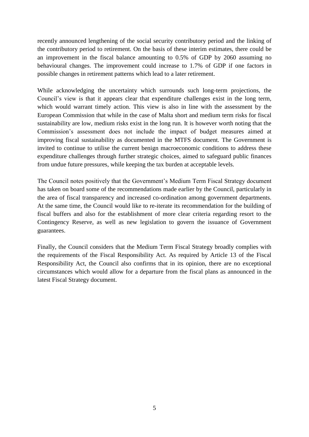recently announced lengthening of the social security contributory period and the linking of the contributory period to retirement. On the basis of these interim estimates, there could be an improvement in the fiscal balance amounting to 0.5% of GDP by 2060 assuming no behavioural changes. The improvement could increase to 1.7% of GDP if one factors in possible changes in retirement patterns which lead to a later retirement.

While acknowledging the uncertainty which surrounds such long-term projections, the Council's view is that it appears clear that expenditure challenges exist in the long term, which would warrant timely action. This view is also in line with the assessment by the European Commission that while in the case of Malta short and medium term risks for fiscal sustainability are low, medium risks exist in the long run. It is however worth noting that the Commission's assessment does not include the impact of budget measures aimed at improving fiscal sustainability as documented in the MTFS document. The Government is invited to continue to utilise the current benign macroeconomic conditions to address these expenditure challenges through further strategic choices, aimed to safeguard public finances from undue future pressures, while keeping the tax burden at acceptable levels.

The Council notes positively that the Government's Medium Term Fiscal Strategy document has taken on board some of the recommendations made earlier by the Council, particularly in the area of fiscal transparency and increased co-ordination among government departments. At the same time, the Council would like to re-iterate its recommendation for the building of fiscal buffers and also for the establishment of more clear criteria regarding resort to the Contingency Reserve, as well as new legislation to govern the issuance of Government guarantees.

Finally, the Council considers that the Medium Term Fiscal Strategy broadly complies with the requirements of the Fiscal Responsibility Act. As required by Article 13 of the Fiscal Responsibility Act, the Council also confirms that in its opinion, there are no exceptional circumstances which would allow for a departure from the fiscal plans as announced in the latest Fiscal Strategy document.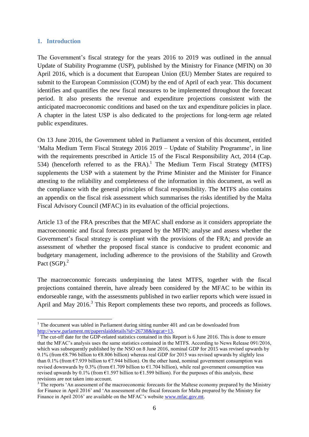#### **1. Introduction**

1

The Government's fiscal strategy for the years 2016 to 2019 was outlined in the annual Update of Stability Programme (USP), published by the Ministry for Finance (MFIN) on 30 April 2016, which is a document that European Union (EU) Member States are required to submit to the European Commission (COM) by the end of April of each year. This document identifies and quantifies the new fiscal measures to be implemented throughout the forecast period. It also presents the revenue and expenditure projections consistent with the anticipated macroeconomic conditions and based on the tax and expenditure policies in place. A chapter in the latest USP is also dedicated to the projections for long-term age related public expenditures.

On 13 June 2016, the Government tabled in Parliament a version of this document, entitled 'Malta Medium Term Fiscal Strategy 2016 2019 – Update of Stability Programme', in line with the requirements prescribed in Article 15 of the Fiscal Responsibility Act, 2014 (Cap. 534) (henceforth referred to as the FRA).<sup>1</sup> The Medium Term Fiscal Strategy (MTFS) supplements the USP with a statement by the Prime Minister and the Minister for Finance attesting to the reliability and completeness of the information in this document, as well as the compliance with the general principles of fiscal responsibility. The MTFS also contains an appendix on the fiscal risk assessment which summarises the risks identified by the Malta Fiscal Advisory Council (MFAC) in its evaluation of the official projections.

Article 13 of the FRA prescribes that the MFAC shall endorse as it considers appropriate the macroeconomic and fiscal forecasts prepared by the MFIN; analyse and assess whether the Government's fiscal strategy is compliant with the provisions of the FRA; and provide an assessment of whether the proposed fiscal stance is conducive to prudent economic and budgetary management, including adherence to the provisions of the Stability and Growth Pact  $(SGP)<sup>2</sup>$ 

The macroeconomic forecasts underpinning the latest MTFS, together with the fiscal projections contained therein, have already been considered by the MFAC to be within its endorseable range, with the assessments published in two earlier reports which were issued in April and May 2016.<sup>3</sup> This Report complements these two reports, and proceeds as follows.

 $1$  The document was tabled in Parliament during sitting number 401 and can be downloaded from [http://www.parlament.mt/paperslaiddetails?id=26738&legcat=13.](http://www.parlament.mt/paperslaiddetails?id=26738&legcat=13)

 $\frac{1}{2}$  The cut-off date for the GDP-related statistics contained in this Report is 6 June 2016. This is done to ensure that the MFAC's analysis uses the same statistics contained in the MTFS. According to News Release 091/2016, which was subsequently published by the NSO on 8 June 2016, nominal GDP for 2015 was revised upwards by 0.1% (from  $\epsilon$ 8.796 billion to  $\epsilon$ 8.806 billion) whereas real GDP for 2015 was revised upwards by slightly less than 0.1% (from  $\epsilon$ 7.939 billion to  $\epsilon$ 7.944 billion). On the other hand, nominal government consumption was revised downwards by 0.3% (from  $\epsilon$ 1.709 billion to  $\epsilon$ 1.704 billion), while real government consumption was revised upwards by 0.1% (from  $\epsilon$ 1.597 billion to  $\epsilon$ 1.599 billion). For the purposes of this analysis, these revisions are not taken into account.

<sup>&</sup>lt;sup>3</sup> The reports 'An assessment of the macroeconomic forecasts for the Maltese economy prepared by the Ministry for Finance in April 2016' and 'An assessment of the fiscal forecasts for Malta prepared by the Ministry for Finance in April 2016' are available on the MFAC's website [www.mfac.gov.mt.](http://www.mfac.gov.mt/)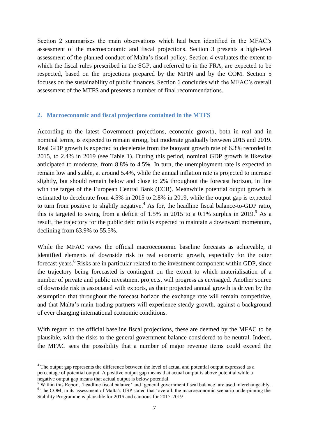Section 2 summarises the main observations which had been identified in the MFAC's assessment of the macroeconomic and fiscal projections. Section 3 presents a high-level assessment of the planned conduct of Malta's fiscal policy. Section 4 evaluates the extent to which the fiscal rules prescribed in the SGP, and referred to in the FRA, are expected to be respected, based on the projections prepared by the MFIN and by the COM. Section 5 focuses on the sustainability of public finances. Section 6 concludes with the MFAC's overall assessment of the MTFS and presents a number of final recommendations.

#### **2. Macroeconomic and fiscal projections contained in the MTFS**

According to the latest Government projections, economic growth, both in real and in nominal terms, is expected to remain strong, but moderate gradually between 2015 and 2019. Real GDP growth is expected to decelerate from the buoyant growth rate of 6.3% recorded in 2015, to 2.4% in 2019 (see Table 1). During this period, nominal GDP growth is likewise anticipated to moderate, from 8.8% to 4.5%. In turn, the unemployment rate is expected to remain low and stable, at around 5.4%, while the annual inflation rate is projected to increase slightly, but should remain below and close to 2% throughout the forecast horizon, in line with the target of the European Central Bank (ECB). Meanwhile potential output growth is estimated to decelerate from 4.5% in 2015 to 2.8% in 2019, while the output gap is expected to turn from positive to slightly negative.<sup>4</sup> As for, the headline fiscal balance-to-GDP ratio, this is targeted to swing from a deficit of 1.5% in 2015 to a 0.1% surplus in 2019.<sup>5</sup> As a result, the trajectory for the public debt ratio is expected to maintain a downward momentum, declining from 63.9% to 55.5%.

While the MFAC views the official macroeconomic baseline forecasts as achievable, it identified elements of downside risk to real economic growth, especially for the outer forecast years.<sup>6</sup> Risks are in particular related to the investment component within GDP, since the trajectory being forecasted is contingent on the extent to which materialisation of a number of private and public investment projects, will progress as envisaged. Another source of downside risk is associated with exports, as their projected annual growth is driven by the assumption that throughout the forecast horizon the exchange rate will remain competitive, and that Malta's main trading partners will experience steady growth, against a background of ever changing international economic conditions.

With regard to the official baseline fiscal projections, these are deemed by the MFAC to be plausible, with the risks to the general government balance considered to be neutral. Indeed, the MFAC sees the possibility that a number of major revenue items could exceed the

1

<sup>&</sup>lt;sup>4</sup> The output gap represents the difference between the level of actual and potential output expressed as a percentage of potential output. A positive output gap means that actual output is above potential while a negative output gap means that actual output is below potential.

<sup>&</sup>lt;sup>5</sup> Within this Report, 'headline fiscal balance' and 'general government fiscal balance' are used interchangeably. <sup>6</sup> The COM, in its assessment of Malta's USP stated that 'overall, the macroeconomic scenario underpinning the Stability Programme is plausible for 2016 and cautious for 2017-2019'.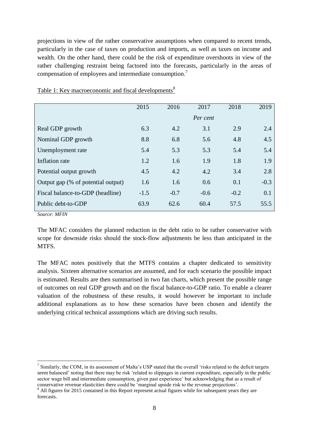projections in view of the rather conservative assumptions when compared to recent trends, particularly in the case of taxes on production and imports, as well as taxes on income and wealth. On the other hand, there could be the risk of expenditure overshoots in view of the rather challenging restraint being factored into the forecasts, particularly in the areas of compensation of employees and intermediate consumption.<sup>7</sup>

|                                    | 2015   | 2016   | 2017     | 2018   | 2019   |
|------------------------------------|--------|--------|----------|--------|--------|
|                                    |        |        | Per cent |        |        |
| Real GDP growth                    | 6.3    | 4.2    | 3.1      | 2.9    | 2.4    |
| Nominal GDP growth                 | 8.8    | 6.8    | 5.6      | 4.8    | 4.5    |
| Unemployment rate                  | 5.4    | 5.3    | 5.3      | 5.4    | 5.4    |
| Inflation rate                     | 1.2    | 1.6    | 1.9      | 1.8    | 1.9    |
| Potential output growth            | 4.5    | 4.2    | 4.2      | 3.4    | 2.8    |
| Output gap (% of potential output) | 1.6    | 1.6    | 0.6      | 0.1    | $-0.3$ |
| Fiscal balance-to-GDP (headline)   | $-1.5$ | $-0.7$ | $-0.6$   | $-0.2$ | 0.1    |
| Public debt-to-GDP                 | 63.9   | 62.6   | 60.4     | 57.5   | 55.5   |

Table 1: Key macroeconomic and fiscal developments<sup>8</sup>

*Source: MFIN*

1

The MFAC considers the planned reduction in the debt ratio to be rather conservative with scope for downside risks should the stock-flow adjustments be less than anticipated in the MTFS.

The MFAC notes positively that the MTFS contains a chapter dedicated to sensitivity analysis. Sixteen alternative scenarios are assumed, and for each scenario the possible impact is estimated. Results are then summarised in two fan charts, which present the possible range of outcomes on real GDP growth and on the fiscal balance-to-GDP ratio. To enable a clearer valuation of the robustness of these results, it would however be important to include additional explanations as to how these scenarios have been chosen and identify the underlying critical technical assumptions which are driving such results.

 $<sup>7</sup>$  Similarly, the COM, in its assessment of Malta's USP stated that the overall 'risks related to the deficit targets</sup> seem balanced' noting that there may be risk 'related to slippages in current expenditure, especially in the public sector wage bill and intermediate consumption, given past experience' but acknowledging that as a result of conservative revenue elasticities there could be 'marginal upside risk to the revenue projections'.

<sup>&</sup>lt;sup>8</sup> All figures for 2015 contained in this Report represent actual figures while for subsequent years they are forecasts.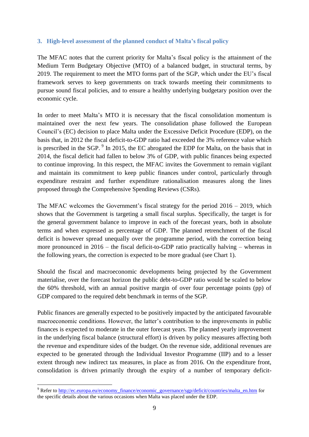## **3. High-level assessment of the planned conduct of Malta's fiscal policy**

The MFAC notes that the current priority for Malta's fiscal policy is the attainment of the Medium Term Budgetary Objective (MTO) of a balanced budget, in structural terms, by 2019. The requirement to meet the MTO forms part of the SGP, which under the EU's fiscal framework serves to keep governments on track towards meeting their commitments to pursue sound fiscal policies, and to ensure a healthy underlying budgetary position over the economic cycle.

In order to meet Malta's MTO it is necessary that the fiscal consolidation momentum is maintained over the next few years. The consolidation phase followed the European Council's (EC) decision to place Malta under the Excessive Deficit Procedure (EDP), on the basis that, in 2012 the fiscal deficit-to-GDP ratio had exceeded the 3% reference value which is prescribed in the SGP.  $9$  In 2015, the EC abrogated the EDP for Malta, on the basis that in 2014, the fiscal deficit had fallen to below 3% of GDP, with public finances being expected to continue improving. In this respect, the MFAC invites the Government to remain vigilant and maintain its commitment to keep public finances under control, particularly through expenditure restraint and further expenditure rationalisation measures along the lines proposed through the Comprehensive Spending Reviews (CSRs).

The MFAC welcomes the Government's fiscal strategy for the period 2016 – 2019, which shows that the Government is targeting a small fiscal surplus. Specifically, the target is for the general government balance to improve in each of the forecast years, both in absolute terms and when expressed as percentage of GDP. The planned retrenchment of the fiscal deficit is however spread unequally over the programme period, with the correction being more pronounced in 2016 – the fiscal deficit-to-GDP ratio practically halving – whereas in the following years, the correction is expected to be more gradual (see Chart 1).

Should the fiscal and macroeconomic developments being projected by the Government materialise, over the forecast horizon the public debt-to-GDP ratio would be scaled to below the 60% threshold, with an annual positive margin of over four percentage points (pp) of GDP compared to the required debt benchmark in terms of the SGP.

Public finances are generally expected to be positively impacted by the anticipated favourable macroeconomic conditions. However, the latter's contribution to the improvements in public finances is expected to moderate in the outer forecast years. The planned yearly improvement in the underlying fiscal balance (structural effort) is driven by policy measures affecting both the revenue and expenditure sides of the budget. On the revenue side, additional revenues are expected to be generated through the Individual Investor Programme (IIP) and to a lesser extent through new indirect tax measures, in place as from 2016. On the expenditure front, consolidation is driven primarily through the expiry of a number of temporary deficit-

1

<sup>&</sup>lt;sup>9</sup> Refer t[o http://ec.europa.eu/economy\\_finance/economic\\_governance/sgp/deficit/countries/malta\\_en.htm](http://ec.europa.eu/economy_finance/economic_governance/sgp/deficit/countries/malta_en.htm) for the specific details about the various occasions when Malta was placed under the EDP.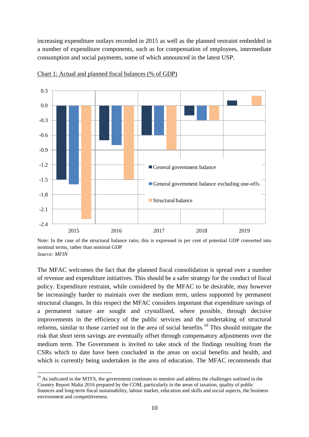increasing expenditure outlays recorded in 2015 as well as the planned restraint embedded in a number of expenditure components, such as for compensation of employees, intermediate consumption and social payments, some of which announced in the latest USP.



Chart 1: Actual and planned fiscal balances (% of GDP)

Note: In the case of the structural balance ratio, this is expressed in per cent of potential GDP converted into nominal terms, rather than nominal GDP *Source: MFIN*

The MFAC welcomes the fact that the planned fiscal consolidation is spread over a number of revenue and expenditure initiatives. This should be a safer strategy for the conduct of fiscal policy. Expenditure restraint, while considered by the MFAC to be desirable, may however be increasingly harder to maintain over the medium term, unless supported by permanent structural changes. In this respect the MFAC considers important that expenditure savings of a permanent nature are sought and crystallised, where possible, through decisive improvements in the efficiency of the public services and the undertaking of structural reforms, similar to those carried out in the area of social benefits.<sup>10</sup> This should mitigate the risk that short term savings are eventually offset through compensatory adjustments over the medium term. The Government is invited to take stock of the findings resulting from the CSRs which to date have been concluded in the areas on social benefits and health, and which is currently being undertaken in the area of education. The MFAC recommends that

1

 $10$  As indicated in the MTFS, the government continues to monitor and address the challenges outlined in the Country Report Malta 2016 prepared by the COM, particularly in the areas of taxation, quality of public finances and long-term fiscal sustainability, labour market, education and skills and social aspects, the business environment and competitiveness.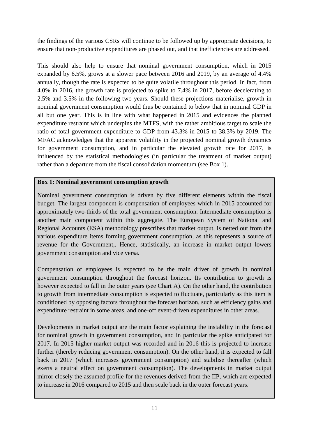the findings of the various CSRs will continue to be followed up by appropriate decisions, to ensure that non-productive expenditures are phased out, and that inefficiencies are addressed.

This should also help to ensure that nominal government consumption, which in 2015 expanded by 6.5%, grows at a slower pace between 2016 and 2019, by an average of 4.4% annually, though the rate is expected to be quite volatile throughout this period. In fact, from 4.0% in 2016, the growth rate is projected to spike to 7.4% in 2017, before decelerating to 2.5% and 3.5% in the following two years. Should these projections materialise, growth in nominal government consumption would thus be contained to below that in nominal GDP in all but one year. This is in line with what happened in 2015 and evidences the planned expenditure restraint which underpins the MTFS, with the rather ambitious target to scale the ratio of total government expenditure to GDP from 43.3% in 2015 to 38.3% by 2019. The MFAC acknowledges that the apparent volatility in the projected nominal growth dynamics for government consumption, and in particular the elevated growth rate for 2017, is influenced by the statistical methodologies (in particular the treatment of market output) rather than a departure from the fiscal consolidation momentum (see Box 1).

## **Box 1: Nominal government consumption growth**

Nominal government consumption is driven by five different elements within the fiscal budget. The largest component is compensation of employees which in 2015 accounted for approximately two-thirds of the total government consumption. Intermediate consumption is another main component within this aggregate. The European System of National and Regional Accounts (ESA) methodology prescribes that market output, is netted out from the various expenditure items forming government consumption, as this represents a source of revenue for the Government,. Hence, statistically, an increase in market output lowers government consumption and vice versa.

Compensation of employees is expected to be the main driver of growth in nominal government consumption throughout the forecast horizon. Its contribution to growth is however expected to fall in the outer years (see Chart A). On the other hand, the contribution to growth from intermediate consumption is expected to fluctuate, particularly as this item is conditioned by opposing factors throughout the forecast horizon, such as efficiency gains and expenditure restraint in some areas, and one-off event-driven expenditures in other areas.

Developments in market output are the main factor explaining the instability in the forecast for nominal growth in government consumption, and in particular the spike anticipated for 2017. In 2015 higher market output was recorded and in 2016 this is projected to increase further (thereby reducing government consumption). On the other hand, it is expected to fall back in 2017 (which increases government consumption) and stabilise thereafter (which exerts a neutral effect on government consumption). The developments in market output mirror closely the assumed profile for the revenues derived from the IIP, which are expected to increase in 2016 compared to 2015 and then scale back in the outer forecast years.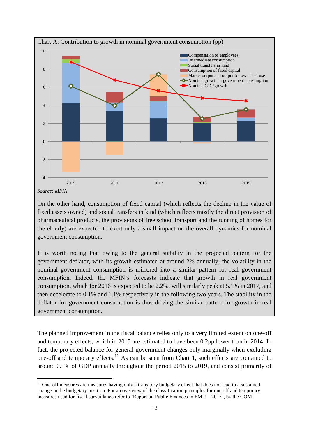

On the other hand, consumption of fixed capital (which reflects the decline in the value of fixed assets owned) and social transfers in kind (which reflects mostly the direct provision of pharmaceutical products, the provisions of free school transport and the running of homes for the elderly) are expected to exert only a small impact on the overall dynamics for nominal government consumption.

It is worth noting that owing to the general stability in the projected pattern for the government deflator, with its growth estimated at around 2% annually, the volatility in the nominal government consumption is mirrored into a similar pattern for real government consumption. Indeed, the MFIN's forecasts indicate that growth in real government consumption, which for 2016 is expected to be 2.2%, will similarly peak at 5.1% in 2017, and then decelerate to 0.1% and 1.1% respectively in the following two years. The stability in the deflator for government consumption is thus driving the similar pattern for growth in real government consumption.

The planned improvement in the fiscal balance relies only to a very limited extent on one-off and temporary effects, which in 2015 are estimated to have been 0.2pp lower than in 2014. In fact, the projected balance for general government changes only marginally when excluding one-off and temporary effects.<sup>11</sup> As can be seen from Chart 1, such effects are contained to around 0.1% of GDP annually throughout the period 2015 to 2019, and consist primarily of

<u>.</u>

<sup>&</sup>lt;sup>11</sup> One-off measures are measures having only a transitory budgetary effect that does not lead to a sustained change in the budgetary position. For an overview of the classification principles for one off and temporary measures used for fiscal surveillance refer to 'Report on Public Finances in EMU – 2015', by the COM.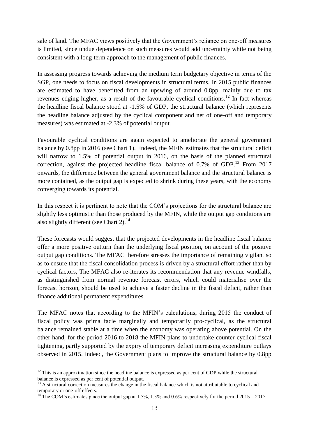sale of land. The MFAC views positively that the Government's reliance on one-off measures is limited, since undue dependence on such measures would add uncertainty while not being consistent with a long-term approach to the management of public finances.

In assessing progress towards achieving the medium term budgetary objective in terms of the SGP, one needs to focus on fiscal developments in structural terms. In 2015 public finances are estimated to have benefitted from an upswing of around 0.8pp, mainly due to tax revenues edging higher, as a result of the favourable cyclical conditions.<sup>12</sup> In fact whereas the headline fiscal balance stood at -1.5% of GDP, the structural balance (which represents the headline balance adjusted by the cyclical component and net of one-off and temporary measures) was estimated at -2.3% of potential output.

Favourable cyclical conditions are again expected to ameliorate the general government balance by 0.8pp in 2016 (see Chart 1). Indeed, the MFIN estimates that the structural deficit will narrow to 1.5% of potential output in 2016, on the basis of the planned structural correction, against the projected headline fiscal balance of  $0.7\%$  of GDP.<sup>13</sup> From 2017 onwards, the difference between the general government balance and the structural balance is more contained, as the output gap is expected to shrink during these years, with the economy converging towards its potential.

In this respect it is pertinent to note that the COM's projections for the structural balance are slightly less optimistic than those produced by the MFIN, while the output gap conditions are also slightly different (see Chart 2). $^{14}$ 

These forecasts would suggest that the projected developments in the headline fiscal balance offer a more positive outturn than the underlying fiscal position, on account of the positive output gap conditions. The MFAC therefore stresses the importance of remaining vigilant so as to ensure that the fiscal consolidation process is driven by a structural effort rather than by cyclical factors, The MFAC also re-iterates its recommendation that any revenue windfalls, as distinguished from normal revenue forecast errors, which could materialise over the forecast horizon, should be used to achieve a faster decline in the fiscal deficit, rather than finance additional permanent expenditures.

The MFAC notes that according to the MFIN's calculations, during 2015 the conduct of fiscal policy was prima facie marginally and temporarily pro-cyclical, as the structural balance remained stable at a time when the economy was operating above potential. On the other hand, for the period 2016 to 2018 the MFIN plans to undertake counter-cyclical fiscal tightening, partly supported by the expiry of temporary deficit increasing expenditure outlays observed in 2015. Indeed, the Government plans to improve the structural balance by 0.8pp

<u>.</u>

 $12$  This is an approximation since the headline balance is expressed as per cent of GDP while the structural balance is expressed as per cent of potential output.

<sup>&</sup>lt;sup>13</sup> A structural correction measures the change in the fiscal balance which is not attributable to cyclical and temporary or one-off effects.

<sup>&</sup>lt;sup>14</sup> The COM's estimates place the output gap at 1.5%, 1.3% and 0.6% respectively for the period 2015 – 2017.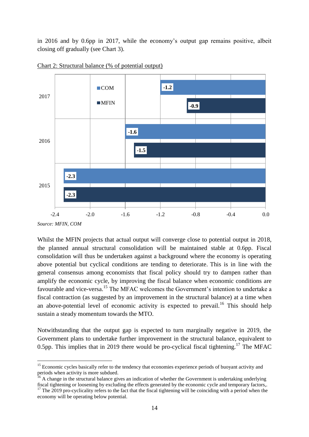in 2016 and by 0.6pp in 2017, while the economy's output gap remains positive, albeit closing off gradually (see Chart 3).





1

Whilst the MFIN projects that actual output will converge close to potential output in 2018, the planned annual structural consolidation will be maintained stable at 0.6pp. Fiscal consolidation will thus be undertaken against a background where the economy is operating above potential but cyclical conditions are tending to deteriorate. This is in line with the general consensus among economists that fiscal policy should try to dampen rather than amplify the economic cycle, by improving the fiscal balance when economic conditions are favourable and vice-versa.<sup>15</sup> The MFAC welcomes the Government's intention to undertake a fiscal contraction (as suggested by an improvement in the structural balance) at a time when an above-potential level of economic activity is expected to prevail.<sup>16</sup> This should help sustain a steady momentum towards the MTO.

Notwithstanding that the output gap is expected to turn marginally negative in 2019, the Government plans to undertake further improvement in the structural balance, equivalent to 0.5pp. This implies that in 2019 there would be pro-cyclical fiscal tightening.<sup>17</sup> The MFAC

*Source: MFIN, COM*

<sup>&</sup>lt;sup>15</sup> Economic cycles basically refer to the tendency that economies experience periods of buoyant activity and periods when activity is more subdued.

<sup>&</sup>lt;sup>16</sup> A change in the structural balance gives an indication of whether the Government is undertaking underlying fiscal tightening or loosening by excluding the effects generated by the economic cycle and temporary factors,.

 $17$  The 2019 pro-cyclicality refers to the fact that the fiscal tightening will be coinciding with a period when the economy will be operating below potential.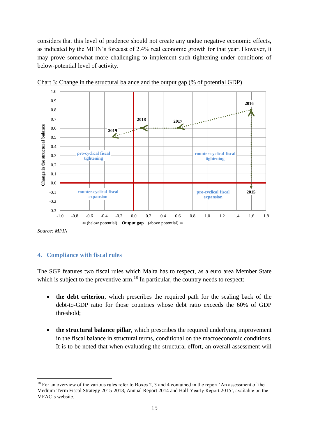considers that this level of prudence should not create any undue negative economic effects, as indicated by the MFIN's forecast of 2.4% real economic growth for that year. However, it may prove somewhat more challenging to implement such tightening under conditions of below-potential level of activity.



Chart 3: Change in the structural balance and the output gap (% of potential GDP)

*Source: MFIN*

<u>.</u>

#### **4. Compliance with fiscal rules**

The SGP features two fiscal rules which Malta has to respect, as a euro area Member State which is subject to the preventive  $arm$ .<sup>18</sup> In particular, the country needs to respect:

- **the debt criterion**, which prescribes the required path for the scaling back of the debt-to-GDP ratio for those countries whose debt ratio exceeds the 60% of GDP threshold;
- **the structural balance pillar**, which prescribes the required underlying improvement in the fiscal balance in structural terms, conditional on the macroeconomic conditions. It is to be noted that when evaluating the structural effort, an overall assessment will

<sup>&</sup>lt;sup>18</sup> For an overview of the various rules refer to Boxes 2, 3 and 4 contained in the report 'An assessment of the Medium-Term Fiscal Strategy 2015-2018, Annual Report 2014 and Half-Yearly Report 2015', available on the MFAC's website.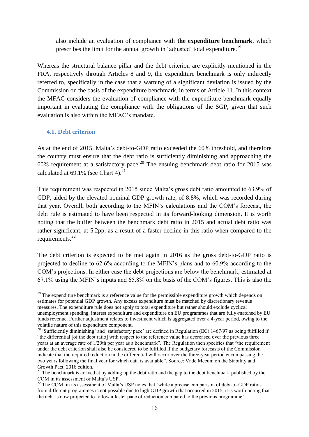also include an evaluation of compliance with **the expenditure benchmark**, which prescribes the limit for the annual growth in 'adjusted' total expenditure.<sup>19</sup>

Whereas the structural balance pillar and the debt criterion are explicitly mentioned in the FRA, respectively through Articles 8 and 9, the expenditure benchmark is only indirectly referred to, specifically in the case that a warning of a significant deviation is issued by the Commission on the basis of the expenditure benchmark, in terms of Article 11. In this context the MFAC considers the evaluation of compliance with the expenditure benchmark equally important in evaluating the compliance with the obligations of the SGP, given that such evaluation is also within the MFAC's mandate.

#### **4.1. Debt criterion**

<u>.</u>

As at the end of 2015, Malta's debt-to-GDP ratio exceeded the 60% threshold, and therefore the country must ensure that the debt ratio is sufficiently diminishing and approaching the 60% requirement at a satisfactory pace.<sup>20</sup> The ensuing benchmark debt ratio for 2015 was calculated at  $69.1\%$  (see Chart 4).<sup>21</sup>

This requirement was respected in 2015 since Malta's gross debt ratio amounted to 63.9% of GDP, aided by the elevated nominal GDP growth rate, of 8.8%, which was recorded during that year. Overall, both according to the MFIN's calculations and the COM's forecast, the debt rule is estimated to have been respected in its forward-looking dimension. It is worth noting that the buffer between the benchmark debt ratio in 2015 and actual debt ratio was rather significant, at 5.2pp, as a result of a faster decline in this ratio when compared to the requirements.<sup>22</sup>

The debt criterion is expected to be met again in 2016 as the gross debt-to-GDP ratio is projected to decline to 62.6% according to the MFIN's plans and to 60.9% according to the COM's projections. In either case the debt projections are below the benchmark, estimated at 67.1% using the MFIN's inputs and 65.8% on the basis of the COM's figures. This is also the

<sup>&</sup>lt;sup>19</sup> The expenditure benchmark is a reference value for the permissible expenditure growth which depends on estimates for potential GDP growth. Any excess expenditure must be matched by discretionary revenue measures. The expenditure rule does not apply to total expenditure but rather should exclude cyclical unemployment spending, interest expenditure and expenditure on EU programmes that are fully-matched by EU funds revenue. Further adjustment relates to investment which is aggregated over a 4-year period, owing to the volatile nature of this expenditure component.

<sup>&</sup>lt;sup>20</sup> 'Sufficiently diminishing' and 'satisfactory pace' are defined in Regulation (EC) 1467/97 as being fulfilled if "the differential [of the debt ratio] with respect to the reference value has decreased over the previous three years at an average rate of 1/20th per year as a benchmark". The Regulation then specifies that "the requirement under the debt criterion shall also be considered to be fulfilled if the budgetary forecasts of the Commission indicate that the required reduction in the differential will occur over the three-year period encompassing the two years following the final year for which data is available". Source: Vade Mecum on the Stability and Growth Pact, 2016 edition.

<sup>&</sup>lt;sup>21</sup> The benchmark is arrived at by adding up the debt ratio and the gap to the debt benchmark published by the COM in its assessment of Malta's USP.

<sup>&</sup>lt;sup>22</sup> The COM, in its assessment of Malta's USP notes that 'while a precise comparison of debt-to-GDP ratios from different programmes is not possible due to high GDP growth that occurred in 2015, it is worth noting that the debt is now projected to follow a faster pace of reduction compared to the previous programme'.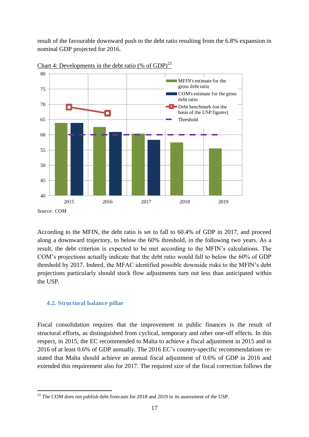result of the favourable downward push to the debt ratio resulting from the 6.8% expansion in nominal GDP projected for 2016.



Chart 4: Developments in the debt ratio (% of GDP)<sup>23</sup>

According to the MFIN, the debt ratio is set to fall to 60.4% of GDP in 2017, and proceed along a downward trajectory, to below the 60% threshold, in the following two years. As a result, the debt criterion is expected to be met according to the MFIN's calculations. The COM's projections actually indicate that the debt ratio would fall to below the 60% of GDP threshold by 2017. Indeed, the MFAC identified possible downside risks to the MFIN's debt projections particularly should stock flow adjustments turn out less than anticipated within the USP.

## **4.2. Structural balance pillar**

1

Fiscal consolidation requires that the improvement in public finances is the result of structural efforts, as distinguished from cyclical, temporary and other one-off effects. In this respect, in 2015, the EC recommended to Malta to achieve a fiscal adjustment in 2015 and in 2016 of at least 0.6% of GDP annually. The 2016 EC's country-specific recommendations restated that Malta should achieve an annual fiscal adjustment of 0.6% of GDP in 2016 and extended this requirement also for 2017. The required size of the fiscal correction follows the

 $^{23}$  The COM does not publish debt forecasts for 2018 and 2019 in its assessment of the USP.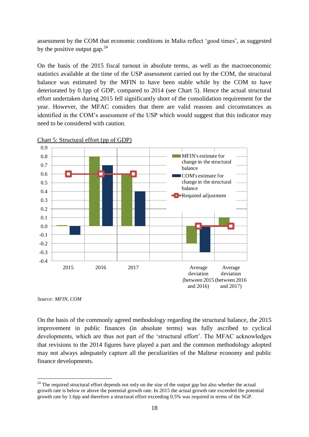assessment by the COM that economic conditions in Malta reflect 'good times', as suggested by the positive output gap. $^{24}$ 

On the basis of the 2015 fiscal turnout in absolute terms, as well as the macroeconomic statistics available at the time of the USP assessment carried out by the COM, the structural balance was estimated by the MFIN to have been stable while by the COM to have deteriorated by 0.1pp of GDP, compared to 2014 (see Chart 5). Hence the actual structural effort undertaken during 2015 fell significantly short of the consolidation requirement for the year. However, the MFAC considers that there are valid reasons and circumstances as identified in the COM's assessment of the USP which would suggest that this indicator may need to be considered with caution.



Chart 5: Structural effort (pp of GDP)

*Source: MFIN, COM*

<u>.</u>

On the basis of the commonly agreed methodology regarding the structural balance, the 2015 improvement in public finances (in absolute terms) was fully ascribed to cyclical developments, which are thus not part of the 'structural effort'. The MFAC acknowledges that revisions to the 2014 figures have played a part and the common methodology adopted may not always adequately capture all the peculiarities of the Maltese economy and public finance developments.

 $^{24}$  The required structural effort depends not only on the size of the output gap but also whether the actual growth rate is below or above the potential growth rate. In 2015 the actual growth rate exceeded the potential growth rate by 1.6pp and therefore a structural effort exceeding 0.5% was required in terms of the SGP.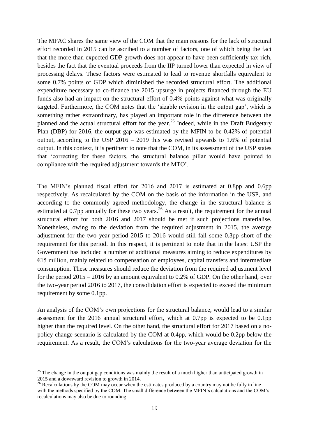The MFAC shares the same view of the COM that the main reasons for the lack of structural effort recorded in 2015 can be ascribed to a number of factors, one of which being the fact that the more than expected GDP growth does not appear to have been sufficiently tax-rich, besides the fact that the eventual proceeds from the IIP turned lower than expected in view of processing delays. These factors were estimated to lead to revenue shortfalls equivalent to some 0.7% points of GDP which diminished the recorded structural effort. The additional expenditure necessary to co-finance the 2015 upsurge in projects financed through the EU funds also had an impact on the structural effort of 0.4% points against what was originally targeted. Furthermore, the COM notes that the 'sizable revision in the output gap', which is something rather extraordinary, has played an important role in the difference between the planned and the actual structural effort for the year.<sup>25</sup> Indeed, while in the Draft Budgetary Plan (DBP) for 2016, the output gap was estimated by the MFIN to be 0.42% of potential output, according to the USP  $2016 - 2019$  this was revised upwards to 1.6% of potential output. In this context, it is pertinent to note that the COM, in its assessment of the USP states that 'correcting for these factors, the structural balance pillar would have pointed to compliance with the required adjustment towards the MTO'.

The MFIN's planned fiscal effort for 2016 and 2017 is estimated at 0.8pp and 0.6pp respectively. As recalculated by the COM on the basis of the information in the USP, and according to the commonly agreed methodology, the change in the structural balance is estimated at 0.7pp annually for these two years.<sup>26</sup> As a result, the requirement for the annual structural effort for both 2016 and 2017 should be met if such projections materialise. Nonetheless, owing to the deviation from the required adjustment in 2015, the average adjustment for the two year period 2015 to 2016 would still fall some 0.3pp short of the requirement for this period. In this respect, it is pertinent to note that in the latest USP the Government has included a number of additional measures aiming to reduce expenditures by  $E15$  million, mainly related to compensation of employees, capital transfers and intermediate consumption. These measures should reduce the deviation from the required adjustment level for the period 2015 – 2016 by an amount equivalent to 0.2% of GDP. On the other hand, over the two-year period 2016 to 2017, the consolidation effort is expected to exceed the minimum requirement by some 0.1pp.

An analysis of the COM's own projections for the structural balance, would lead to a similar assessment for the 2016 annual structural effort, which at 0.7pp is expected to be 0.1pp higher than the required level. On the other hand, the structural effort for 2017 based on a nopolicy-change scenario is calculated by the COM at 0.4pp, which would be 0.2pp below the requirement. As a result, the COM's calculations for the two-year average deviation for the

<u>.</u>

 $25$  The change in the output gap conditions was mainly the result of a much higher than anticipated growth in 2015 and a downward revision to growth in 2014.

<sup>&</sup>lt;sup>26</sup> Recalculations by the COM may occur when the estimates produced by a country may not be fully in line with the methods specified by the COM. The small difference between the MFIN's calculations and the COM's recalculations may also be due to rounding.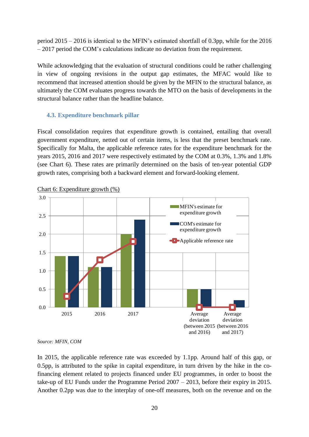period 2015 – 2016 is identical to the MFIN's estimated shortfall of 0.3pp, while for the 2016 – 2017 period the COM's calculations indicate no deviation from the requirement.

While acknowledging that the evaluation of structural conditions could be rather challenging in view of ongoing revisions in the output gap estimates, the MFAC would like to recommend that increased attention should be given by the MFIN to the structural balance, as ultimately the COM evaluates progress towards the MTO on the basis of developments in the structural balance rather than the headline balance.

#### **4.3. Expenditure benchmark pillar**

Fiscal consolidation requires that expenditure growth is contained, entailing that overall government expenditure, netted out of certain items, is less that the preset benchmark rate. Specifically for Malta, the applicable reference rates for the expenditure benchmark for the years 2015, 2016 and 2017 were respectively estimated by the COM at 0.3%, 1.3% and 1.8% (see Chart 6). These rates are primarily determined on the basis of ten-year potential GDP growth rates, comprising both a backward element and forward-looking element.



Chart 6: Expenditure growth (%)

In 2015, the applicable reference rate was exceeded by 1.1pp. Around half of this gap, or 0.5pp, is attributed to the spike in capital expenditure, in turn driven by the hike in the cofinancing element related to projects financed under EU programmes, in order to boost the take-up of EU Funds under the Programme Period 2007 – 2013, before their expiry in 2015. Another 0.2pp was due to the interplay of one-off measures, both on the revenue and on the

*Source: MFIN, COM*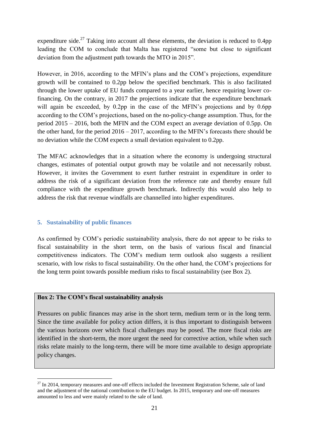expenditure side.<sup>27</sup> Taking into account all these elements, the deviation is reduced to 0.4pp leading the COM to conclude that Malta has registered "some but close to significant deviation from the adjustment path towards the MTO in 2015".

However, in 2016, according to the MFIN's plans and the COM's projections, expenditure growth will be contained to 0.2pp below the specified benchmark. This is also facilitated through the lower uptake of EU funds compared to a year earlier, hence requiring lower cofinancing. On the contrary, in 2017 the projections indicate that the expenditure benchmark will again be exceeded, by 0.2pp in the case of the MFIN's projections and by 0.6pp according to the COM's projections, based on the no-policy-change assumption. Thus, for the period 2015 – 2016, both the MFIN and the COM expect an average deviation of 0.5pp. On the other hand, for the period 2016 – 2017, according to the MFIN's forecasts there should be no deviation while the COM expects a small deviation equivalent to 0.2pp.

The MFAC acknowledges that in a situation where the economy is undergoing structural changes, estimates of potential output growth may be volatile and not necessarily robust. However, it invites the Government to exert further restraint in expenditure in order to address the risk of a significant deviation from the reference rate and thereby ensure full compliance with the expenditure growth benchmark. Indirectly this would also help to address the risk that revenue windfalls are channelled into higher expenditures.

## **5. Sustainability of public finances**

<u>.</u>

As confirmed by COM's periodic sustainability analysis, there do not appear to be risks to fiscal sustainability in the short term, on the basis of various fiscal and financial competitiveness indicators. The COM's medium term outlook also suggests a resilient scenario, with low risks to fiscal sustainability. On the other hand, the COM's projections for the long term point towards possible medium risks to fiscal sustainability (see Box 2).

## **Box 2: The COM's fiscal sustainability analysis**

Pressures on public finances may arise in the short term, medium term or in the long term. Since the time available for policy action differs, it is thus important to distinguish between the various horizons over which fiscal challenges may be posed. The more fiscal risks are identified in the short-term, the more urgent the need for corrective action, while when such risks relate mainly to the long-term, there will be more time available to design appropriate policy changes.

 $27$  In 2014, temporary measures and one-off effects included the Investment Registration Scheme, sale of land and the adjustment of the national contribution to the EU budget. In 2015, temporary and one-off measures amounted to less and were mainly related to the sale of land.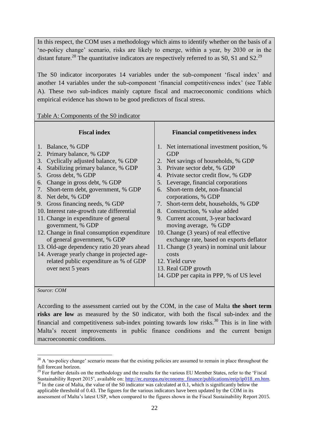In this respect, the COM uses a methodology which aims to identify whether on the basis of a 'no-policy change' scenario, risks are likely to emerge, within a year, by 2030 or in the distant future.<sup>28</sup> The quantitative indicators are respectively referred to as S0, S1 and S2.<sup>29</sup>

The S0 indicator incorporates 14 variables under the sub-component 'fiscal index' and another 14 variables under the sub-component 'financial competitiveness index' (see Table A). These two sub-indices mainly capture fiscal and macroeconomic conditions which empirical evidence has shown to be good predictors of fiscal stress.

Table A: Components of the S0 indicator

1

| <b>Fiscal index</b>                                                                                                                                                                                                                                                                                                                                                                                                                                                                                                                                                                                                                                                   | <b>Financial competitiveness index</b>                                                                                                                                                                                                                                                                                                                                                                                                                                                                                                                                                                                                                         |
|-----------------------------------------------------------------------------------------------------------------------------------------------------------------------------------------------------------------------------------------------------------------------------------------------------------------------------------------------------------------------------------------------------------------------------------------------------------------------------------------------------------------------------------------------------------------------------------------------------------------------------------------------------------------------|----------------------------------------------------------------------------------------------------------------------------------------------------------------------------------------------------------------------------------------------------------------------------------------------------------------------------------------------------------------------------------------------------------------------------------------------------------------------------------------------------------------------------------------------------------------------------------------------------------------------------------------------------------------|
| 1. Balance, % GDP<br>Primary balance, % GDP<br>2.<br>Cyclically adjusted balance, % GDP<br>3.<br>Stabilizing primary balance, % GDP<br>4.<br>Gross debt, % GDP<br>5.<br>Change in gross debt, % GDP<br>6.<br>Short-term debt, government, % GDP<br>7.<br>8. Net debt, % GDP<br>9. Gross financing needs, % GDP<br>10. Interest rate-growth rate differential<br>11. Change in expenditure of general<br>government, % GDP<br>12. Change in final consumption expenditure<br>of general government, % GDP<br>13. Old-age dependency ratio 20 years ahead<br>14. Average yearly change in projected age-<br>related public expenditure as % of GDP<br>over next 5 years | 1. Net international investment position, %<br><b>GDP</b><br>2. Net savings of households, % GDP<br>3. Private sector debt, % GDP<br>4. Private sector credit flow, % GDP<br>5. Leverage, financial corporations<br>Short-term debt, non-financial<br>6.<br>corporations, % GDP<br>7. Short-term debt, households, % GDP<br>8. Construction, % value added<br>9. Current account, 3-year backward<br>moving average, % GDP<br>10. Change (3 years) of real effective<br>exchange rate, based on exports deflator<br>11. Change (3 years) in nominal unit labour<br>costs<br>12. Yield curve<br>13. Real GDP growth<br>14. GDP per capita in PPP, % of US level |
| Source: COM                                                                                                                                                                                                                                                                                                                                                                                                                                                                                                                                                                                                                                                           |                                                                                                                                                                                                                                                                                                                                                                                                                                                                                                                                                                                                                                                                |

According to the assessment carried out by the COM, in the case of Malta **the short term risks are low** as measured by the S0 indicator, with both the fiscal sub-index and the financial and competitiveness sub-index pointing towards low risks.<sup>30</sup> This is in line with Malta's recent improvements in public finance conditions and the current benign macroeconomic conditions.

<sup>&</sup>lt;sup>28</sup> A 'no-policy change' scenario means that the existing policies are assumed to remain in place throughout the full forecast horizon.

<sup>&</sup>lt;sup>29</sup> For further details on the methodology and the results for the various EU Member States, refer to the 'Fiscal Sustainability Report 2015', available on: [http://ec.europa.eu/economy\\_finance/publications/eeip/ip018\\_en.htm.](http://ec.europa.eu/economy_finance/publications/eeip/ip018_en.htm)

<sup>&</sup>lt;sup>30</sup> In the case of Malta, the value of the S0 indicator was calculated at 0.1, which is significantly below the applicable threshold of 0.43. The figures for the various indicators have been updated by the COM in its assessment of Malta's latest USP, when compared to the figures shown in the Fiscal Sustainability Report 2015.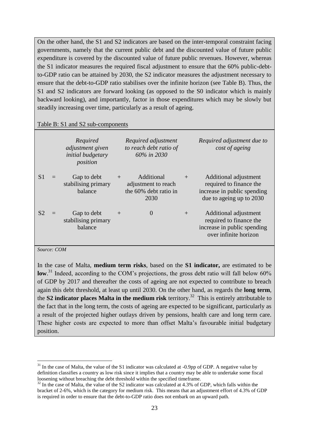On the other hand, the S1 and S2 indicators are based on the inter-temporal constraint facing governments, namely that the current public debt and the discounted value of future public expenditure is covered by the discounted value of future public revenues. However, whereas the S1 indicator measures the required fiscal adjustment to ensure that the 60% public-debtto-GDP ratio can be attained by 2030, the S2 indicator measures the adjustment necessary to ensure that the debt-to-GDP ratio stabilises over the infinite horizon (see Table B). Thus, the S1 and S2 indicators are forward looking (as opposed to the S0 indicator which is mainly backward looking), and importantly, factor in those expenditures which may be slowly but steadily increasing over time, particularly as a result of ageing.

#### Table B: S1 and S2 sub-components

|                | Required<br>adjustment given<br>initial budgetary<br>position |     | Required adjustment<br>to reach debt ratio of<br>60% in 2030       |     | Required adjustment due to<br>cost of ageing                                                                |
|----------------|---------------------------------------------------------------|-----|--------------------------------------------------------------------|-----|-------------------------------------------------------------------------------------------------------------|
| S <sub>1</sub> | Gap to debt<br>stabilising primary<br>balance                 | $+$ | Additional<br>adjustment to reach<br>the 60% debt ratio in<br>2030 | $+$ | Additional adjustment<br>required to finance the<br>increase in public spending<br>due to ageing up to 2030 |
| S <sub>2</sub> | Gap to debt<br>stabilising primary<br>balance                 | $+$ | $\overline{0}$                                                     | $+$ | Additional adjustment<br>required to finance the<br>increase in public spending<br>over infinite horizon    |

#### *Source: COM*

1

In the case of Malta, **medium term risks**, based on the **S1 indicator,** are estimated to be low.<sup>31</sup> Indeed, according to the COM's projections, the gross debt ratio will fall below 60% of GDP by 2017 and thereafter the costs of ageing are not expected to contribute to breach again this debt threshold, at least up until 2030. On the other hand, as regards the **long term**, the **S2 indicator places Malta in the medium risk** territory. 32 This is entirely attributable to the fact that in the long term, the costs of ageing are expected to be significant, particularly as a result of the projected higher outlays driven by pensions, health care and long term care. These higher costs are expected to more than offset Malta's favourable initial budgetary position.

<sup>&</sup>lt;sup>31</sup> In the case of Malta, the value of the S1 indicator was calculated at -0.9pp of GDP. A negative value by definition classifies a country as low risk since it implies that a country may be able to undertake some fiscal loosening without breaching the debt threshold within the specified timeframe.

 $32$  In the case of Malta, the value of the S2 indicator was calculated at 4.3% of GDP, which falls within the bracket of 2-6%, which is the category for medium risk. This means that an adjustment effort of 4.3% of GDP is required in order to ensure that the debt-to-GDP ratio does not embark on an upward path.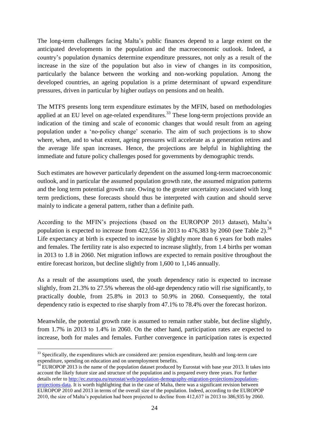The long-term challenges facing Malta's public finances depend to a large extent on the anticipated developments in the population and the macroeconomic outlook. Indeed, a country's population dynamics determine expenditure pressures, not only as a result of the increase in the size of the population but also in view of changes in its composition, particularly the balance between the working and non-working population. Among the developed countries, an ageing population is a prime determinant of upward expenditure pressures, driven in particular by higher outlays on pensions and on health.

The MTFS presents long term expenditure estimates by the MFIN, based on methodologies applied at an EU level on age-related expenditures.<sup>33</sup> These long-term projections provide an indication of the timing and scale of economic changes that would result from an ageing population under a 'no-policy change' scenario. The aim of such projections is to show where, when, and to what extent, ageing pressures will accelerate as a generation retires and the average life span increases. Hence, the projections are helpful in highlighting the immediate and future policy challenges posed for governments by demographic trends.

Such estimates are however particularly dependent on the assumed long-term macroeconomic outlook, and in particular the assumed population growth rate, the assumed migration patterns and the long term potential growth rate. Owing to the greater uncertainty associated with long term predictions, these forecasts should thus be interpreted with caution and should serve mainly to indicate a general pattern, rather than a definite path.

According to the MFIN's projections (based on the EUROPOP 2013 dataset), Malta's population is expected to increase from  $422,556$  in 2013 to  $476,383$  by 2060 (see Table 2).<sup>34</sup> Life expectancy at birth is expected to increase by slightly more than 6 years for both males and females. The fertility rate is also expected to increase slightly, from 1.4 births per woman in 2013 to 1.8 in 2060. Net migration inflows are expected to remain positive throughout the entire forecast horizon, but decline slightly from 1,600 to 1,146 annually.

As a result of the assumptions used, the youth dependency ratio is expected to increase slightly, from 21.3% to 27.5% whereas the old-age dependency ratio will rise significantly, to practically double, from 25.8% in 2013 to 50.9% in 2060. Consequently, the total dependency ratio is expected to rise sharply from 47.1% to 78.4% over the forecast horizon.

Meanwhile, the potential growth rate is assumed to remain rather stable, but decline slightly, from 1.7% in 2013 to 1.4% in 2060. On the other hand, participation rates are expected to increase, both for males and females. Further convergence in participation rates is expected

<sup>1</sup> <sup>33</sup> Specifically, the expenditures which are considered are: pension expenditure, health and long-term care expenditure, spending on education and on unemployment benefits.

<sup>&</sup>lt;sup>34</sup> EUROPOP 2013 is the name of the population dataset produced by Eurostat with base year 2013. It takes into account the likely future size and structure of the population and is prepared every three years. For further details refer to [http://ec.europa.eu/eurostat/web/population-demography-migration-projections/population](http://ec.europa.eu/eurostat/web/population-demography-migration-projections/population-projections-data)[projections-data.](http://ec.europa.eu/eurostat/web/population-demography-migration-projections/population-projections-data) It is worth highlighting that in the case of Malta, there was a significant revision between EUROPOP 2010 and 2013 in terms of the overall size of the population. Indeed, according to the EUROPOP 2010, the size of Malta's population had been projected to decline from 412,637 in 2013 to 386,935 by 2060.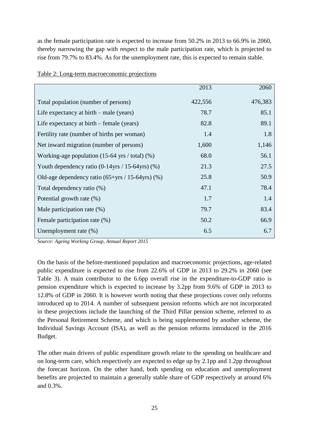as the female participation rate is expected to increase from 50.2% in 2013 to 66.9% in 2060, thereby narrowing the gap with respect to the male participation rate, which is projected to rise from 79.7% to 83.4%. As for the unemployment rate, this is expected to remain stable.

|                                                                 | 2013    | 2060    |
|-----------------------------------------------------------------|---------|---------|
| Total population (number of persons)                            | 422,556 | 476,383 |
| Life expectancy at $birth$ – male (years)                       | 78.7    | 85.1    |
| Life expectancy at $birth$ – female (years)                     | 82.8    | 89.1    |
| Fertility rate (number of births per woman)                     | 1.4     | 1.8     |
| Net inward migration (number of persons)                        | 1,600   | 1,146   |
| Working-age population $(15-64 \text{ yrs} / \text{total})$ (%) | 68.0    | 56.1    |
| Youth dependency ratio (0-14yrs / 15-64yrs) (%)                 | 21.3    | 27.5    |
| Old-age dependency ratio $(65+\gamma rs / 15-64\gamma rs)$ (%)  | 25.8    | 50.9    |
| Total dependency ratio (%)                                      | 47.1    | 78.4    |
| Potential growth rate (%)                                       | 1.7     | 1.4     |
| Male participation rate (%)                                     | 79.7    | 83.4    |
| Female participation rate (%)                                   | 50.2    | 66.9    |
| Unemployment rate $(\%)$                                        | 6.5     | 6.7     |

|  | Table 2: Long-term macroeconomic projections |  |
|--|----------------------------------------------|--|
|  |                                              |  |

*Source: Ageing Working Group, Annual Report 2015*

On the basis of the before-mentioned population and macroeconomic projections, age-related public expenditure is expected to rise from 22.6% of GDP in 2013 to 29.2% in 2060 (see Table 3). A main contributor to the 6.6pp overall rise in the expenditure-to-GDP ratio is pension expenditure which is expected to increase by 3.2pp from 9.6% of GDP in 2013 to 12.8% of GDP in 2060. It is however worth noting that these projections cover only reforms introduced up to 2014. A number of subsequent pension reforms which are not incorporated in these projections include the launching of the Third Pillar pension scheme, referred to as the Personal Retirement Scheme, and which is being supplemented by another scheme, the Individual Savings Account (ISA), as well as the pension reforms introduced in the 2016 Budget.

The other main drivers of public expenditure growth relate to the spending on healthcare and on long-term care, which respectively are expected to edge up by 2.1pp and 1.2pp throughout the forecast horizon. On the other hand, both spending on education and unemployment benefits are projected to maintain a generally stable share of GDP respectively at around 6% and 0.3%.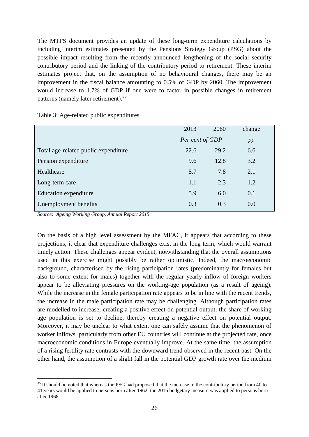The MTFS document provides an update of these long-term expenditure calculations by including interim estimates presented by the Pensions Strategy Group (PSG) about the possible impact resulting from the recently announced lengthening of the social security contributory period and the linking of the contributory period to retirement. These interim estimates project that, on the assumption of no behavioural changes, there may be an improvement in the fiscal balance amounting to 0.5% of GDP by 2060. The improvement would increase to 1.7% of GDP if one were to factor in possible changes in retirement patterns (namely later retirement).<sup>35</sup>

|                                      | 2013            | 2060 | change |  |
|--------------------------------------|-----------------|------|--------|--|
|                                      | Per cent of GDP |      | pp     |  |
| Total age-related public expenditure | 22.6            | 29.2 | 6.6    |  |
| Pension expenditure                  | 9.6             | 12.8 | 3.2    |  |
| Healthcare                           | 5.7             | 7.8  | 2.1    |  |
| Long-term care                       | 1.1             | 2.3  | 1.2    |  |
| Education expenditure                | 5.9             | 6.0  | 0.1    |  |
| Unemployment benefits                | 0.3             | 0.3  | 0.0    |  |
|                                      |                 |      |        |  |

#### Table 3: Age-related public expenditures

*Source: Ageing Working Group, Annual Report 2015*

<u>.</u>

On the basis of a high level assessment by the MFAC, it appears that according to these projections, it clear that expenditure challenges exist in the long term, which would warrant timely action. These challenges appear evident, notwithstanding that the overall assumptions used in this exercise might possibly be rather optimistic. Indeed, the macroeconomic background, characterised by the rising participation rates (predominantly for females but also to some extent for males) together with the regular yearly inflow of foreign workers appear to be alleviating pressures on the working-age population (as a result of ageing). While the increase in the female participation rate appears to be in line with the recent trends, the increase in the male participation rate may be challenging. Although participation rates are modelled to increase, creating a positive effect on potential output, the share of working age population is set to decline, thereby creating a negative effect on potential output. Moreover, it may be unclear to what extent one can safely assume that the phenomenon of worker inflows, particularly from other EU countries will continue at the projected rate, once macroeconomic conditions in Europe eventually improve. At the same time, the assumption of a rising fertility rate contrasts with the downward trend observed in the recent past. On the other hand, the assumption of a slight fall in the potential GDP growth rate over the medium

<sup>&</sup>lt;sup>35</sup> It should be noted that whereas the PSG had proposed that the increase in the contributory period from 40 to 41 years would be applied to persons born after 1962, the 2016 budgetary measure was applied to persons born after 1968.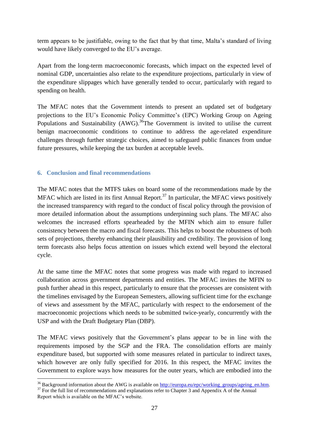term appears to be justifiable, owing to the fact that by that time, Malta's standard of living would have likely converged to the EU's average.

Apart from the long-term macroeconomic forecasts, which impact on the expected level of nominal GDP, uncertainties also relate to the expenditure projections, particularly in view of the expenditure slippages which have generally tended to occur, particularly with regard to spending on health.

The MFAC notes that the Government intends to present an updated set of budgetary projections to the EU's Economic Policy Committee's (EPC) Working Group on Ageing Populations and Sustainability  $(AWG)$ . <sup>36</sup>The Government is invited to utilise the current benign macroeconomic conditions to continue to address the age-related expenditure challenges through further strategic choices, aimed to safeguard public finances from undue future pressures, while keeping the tax burden at acceptable levels.

## **6. Conclusion and final recommendations**

The MFAC notes that the MTFS takes on board some of the recommendations made by the MFAC which are listed in its first Annual Report.<sup>37</sup> In particular, the MFAC views positively the increased transparency with regard to the conduct of fiscal policy through the provision of more detailed information about the assumptions underpinning such plans. The MFAC also welcomes the increased efforts spearheaded by the MFIN which aim to ensure fuller consistency between the macro and fiscal forecasts. This helps to boost the robustness of both sets of projections, thereby enhancing their plausibility and credibility. The provision of long term forecasts also helps focus attention on issues which extend well beyond the electoral cycle.

At the same time the MFAC notes that some progress was made with regard to increased collaboration across government departments and entities. The MFAC invites the MFIN to push further ahead in this respect, particularly to ensure that the processes are consistent with the timelines envisaged by the European Semesters, allowing sufficient time for the exchange of views and assessment by the MFAC, particularly with respect to the endorsement of the macroeconomic projections which needs to be submitted twice-yearly, concurrently with the USP and with the Draft Budgetary Plan (DBP).

The MFAC views positively that the Government's plans appear to be in line with the requirements imposed by the SGP and the FRA. The consolidation efforts are mainly expenditure based, but supported with some measures related in particular to indirect taxes, which however are only fully specified for 2016. In this respect, the MFAC invites the Government to explore ways how measures for the outer years, which are embodied into the

<sup>&</sup>lt;u>.</u> <sup>36</sup> Background information about the AWG is available on [http://europa.eu/epc/working\\_groups/ageing\\_en.htm.](http://europa.eu/epc/working_groups/ageing_en.htm)

 $37$  For the full list of recommendations and explanations refer to Chapter 3 and Appendix A of the Annual Report which is available on the MFAC's website.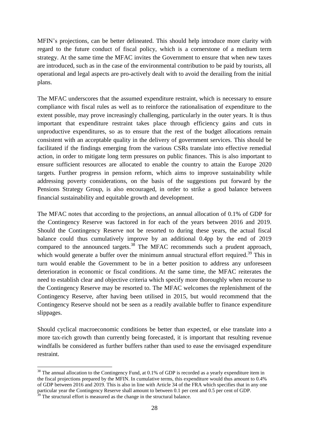MFIN's projections, can be better delineated. This should help introduce more clarity with regard to the future conduct of fiscal policy, which is a cornerstone of a medium term strategy. At the same time the MFAC invites the Government to ensure that when new taxes are introduced, such as in the case of the environmental contribution to be paid by tourists, all operational and legal aspects are pro-actively dealt with to avoid the derailing from the initial plans.

The MFAC underscores that the assumed expenditure restraint, which is necessary to ensure compliance with fiscal rules as well as to reinforce the rationalisation of expenditure to the extent possible, may prove increasingly challenging, particularly in the outer years. It is thus important that expenditure restraint takes place through efficiency gains and cuts in unproductive expenditures, so as to ensure that the rest of the budget allocations remain consistent with an acceptable quality in the delivery of government services. This should be facilitated if the findings emerging from the various CSRs translate into effective remedial action, in order to mitigate long term pressures on public finances. This is also important to ensure sufficient resources are allocated to enable the country to attain the Europe 2020 targets. Further progress in pension reform, which aims to improve sustainability while addressing poverty considerations, on the basis of the suggestions put forward by the Pensions Strategy Group, is also encouraged, in order to strike a good balance between financial sustainability and equitable growth and development.

The MFAC notes that according to the projections, an annual allocation of 0.1% of GDP for the Contingency Reserve was factored in for each of the years between 2016 and 2019. Should the Contingency Reserve not be resorted to during these years, the actual fiscal balance could thus cumulatively improve by an additional 0.4pp by the end of 2019 compared to the announced targets.<sup>38</sup> The MFAC recommends such a prudent approach, which would generate a buffer over the minimum annual structural effort required.<sup>39</sup> This in turn would enable the Government to be in a better position to address any unforeseen deterioration in economic or fiscal conditions. At the same time, the MFAC reiterates the need to establish clear and objective criteria which specify more thoroughly when recourse to the Contingency Reserve may be resorted to. The MFAC welcomes the replenishment of the Contingency Reserve, after having been utilised in 2015, but would recommend that the Contingency Reserve should not be seen as a readily available buffer to finance expenditure slippages.

Should cyclical macroeconomic conditions be better than expected, or else translate into a more tax-rich growth than currently being forecasted, it is important that resulting revenue windfalls be considered as further buffers rather than used to ease the envisaged expenditure restraint.

<u>.</u>

<sup>&</sup>lt;sup>38</sup> The annual allocation to the Contingency Fund, at 0.1% of GDP is recorded as a yearly expenditure item in the fiscal projections prepared by the MFIN. In cumulative terms, this expenditure would thus amount to 0.4% of GDP between 2016 and 2019. This is also in line with Article 34 of the FRA which specifies that in any one particular year the Contingency Reserve shall amount to between 0.1 per cent and 0.5 per cent of GDP.

 $39$  The structural effort is measured as the change in the structural balance.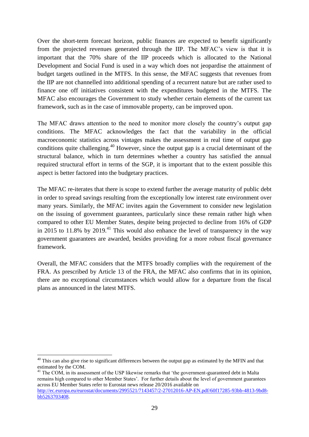Over the short-term forecast horizon, public finances are expected to benefit significantly from the projected revenues generated through the IIP. The MFAC's view is that it is important that the 70% share of the IIP proceeds which is allocated to the National Development and Social Fund is used in a way which does not jeopardise the attainment of budget targets outlined in the MTFS. In this sense, the MFAC suggests that revenues from the IIP are not channelled into additional spending of a recurrent nature but are rather used to finance one off initiatives consistent with the expenditures budgeted in the MTFS. The MFAC also encourages the Government to study whether certain elements of the current tax framework, such as in the case of immovable property, can be improved upon.

The MFAC draws attention to the need to monitor more closely the country's output gap conditions. The MFAC acknowledges the fact that the variability in the official macroeconomic statistics across vintages makes the assessment in real time of output gap conditions quite challenging.<sup>40</sup> However, since the output gap is a crucial determinant of the structural balance, which in turn determines whether a country has satisfied the annual required structural effort in terms of the SGP, it is important that to the extent possible this aspect is better factored into the budgetary practices.

The MFAC re-iterates that there is scope to extend further the average maturity of public debt in order to spread savings resulting from the exceptionally low interest rate environment over many years. Similarly, the MFAC invites again the Government to consider new legislation on the issuing of government guarantees, particularly since these remain rather high when compared to other EU Member States, despite being projected to decline from 16% of GDP in 2015 to 11.8% by 2019.<sup>41</sup> This would also enhance the level of transparency in the way government guarantees are awarded, besides providing for a more robust fiscal governance framework.

Overall, the MFAC considers that the MTFS broadly complies with the requirement of the FRA. As prescribed by Article 13 of the FRA, the MFAC also confirms that in its opinion, there are no exceptional circumstances which would allow for a departure from the fiscal plans as announced in the latest MTFS.

1

<sup>41</sup> The COM, in its assessment of the USP likewise remarks that 'the government-guaranteed debt in Malta remains high compared to other Member States'. For further details about the level of government guarantees across EU Member States refer to Eurostat news release 20/2016 available on [http://ec.europa.eu/eurostat/documents/2995521/7143457/2-27012016-AP-EN.pdf/60f17285-93bb-4813-9bd8](http://ec.europa.eu/eurostat/documents/2995521/7143457/2-27012016-AP-EN.pdf/60f17285-93bb-4813-9bd8-bb5263703408) [bb5263703408.](http://ec.europa.eu/eurostat/documents/2995521/7143457/2-27012016-AP-EN.pdf/60f17285-93bb-4813-9bd8-bb5263703408)

<sup>&</sup>lt;sup>40</sup> This can also give rise to significant differences between the output gap as estimated by the MFIN and that estimated by the COM.